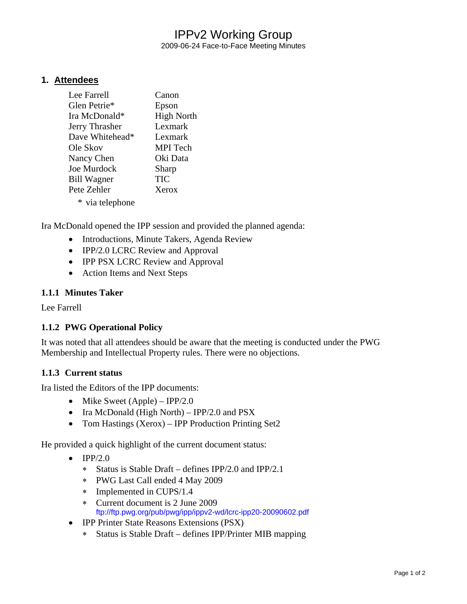# IPPv2 Working Group

2009-06-24 Face-to-Face Meeting Minutes

### **1. Attendees**

| Lee Farrell        | Canon             |
|--------------------|-------------------|
| Glen Petrie*       | Epson             |
| Ira McDonald*      | <b>High North</b> |
| Jerry Thrasher     | Lexmark           |
| Dave Whitehead*    | Lexmark           |
| Ole Skov           | <b>MPI</b> Tech   |
| Nancy Chen         | Oki Data          |
| Joe Murdock        | Sharp             |
| <b>Bill Wagner</b> | TIC               |
| Pete Zehler        | Xerox             |
| * via telephone    |                   |

Ira McDonald opened the IPP session and provided the planned agenda:

- Introductions, Minute Takers, Agenda Review
- IPP/2.0 LCRC Review and Approval
- IPP PSX LCRC Review and Approval
- Action Items and Next Steps

#### **1.1.1 Minutes Taker**

Lee Farrell

#### **1.1.2 PWG Operational Policy**

It was noted that all attendees should be aware that the meeting is conducted under the PWG Membership and Intellectual Property rules. There were no objections.

#### **1.1.3 Current status**

Ira listed the Editors of the IPP documents:

- Mike Sweet  $(Apple) IPP/2.0$
- Ira McDonald (High North) IPP/2.0 and PSX
- Tom Hastings (Xerox) IPP Production Printing Set2

He provided a quick highlight of the current document status:

- $\bullet$  IPP/2.0
	- ∗ Status is Stable Draft defines IPP/2.0 and IPP/2.1
	- ∗ PWG Last Call ended 4 May 2009
	- ∗ Implemented in CUPS/1.4
	- ∗ Current document is 2 June 2009 <ftp://ftp.pwg.org/pub/pwg/ipp/ippv2-wd/lcrc-ipp20-20090602.pdf>
- IPP Printer State Reasons Extensions (PSX)
	- ∗ Status is Stable Draft defines IPP/Printer MIB mapping